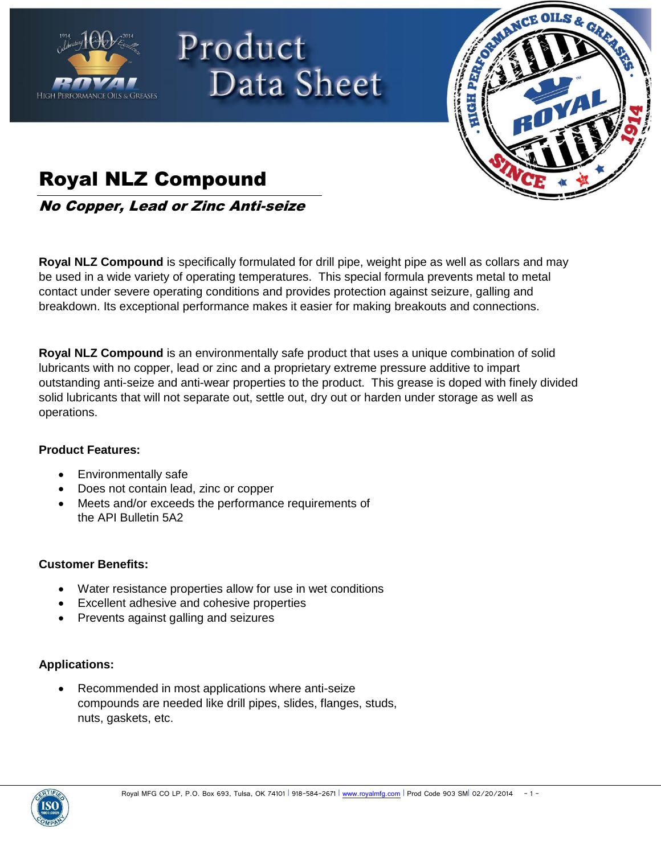



# Royal NLZ Compound

No Copper, Lead or Zinc Anti-seize

Product

**Royal NLZ Compound** is specifically formulated for drill pipe, weight pipe as well as collars and may be used in a wide variety of operating temperatures. This special formula prevents metal to metal contact under severe operating conditions and provides protection against seizure, galling and breakdown. Its exceptional performance makes it easier for making breakouts and connections.

Data Sheet

**Royal NLZ Compound** is an environmentally safe product that uses a unique combination of solid lubricants with no copper, lead or zinc and a proprietary extreme pressure additive to impart outstanding anti-seize and anti-wear properties to the product. This grease is doped with finely divided solid lubricants that will not separate out, settle out, dry out or harden under storage as well as operations.

## **Product Features:**

- Environmentally safe
- Does not contain lead, zinc or copper
- Meets and/or exceeds the performance requirements of the API Bulletin 5A2

### **Customer Benefits:**

- Water resistance properties allow for use in wet conditions
- Excellent adhesive and cohesive properties
- Prevents against galling and seizures

## **Applications:**

 Recommended in most applications where anti-seize compounds are needed like drill pipes, slides, flanges, studs, nuts, gaskets, etc.